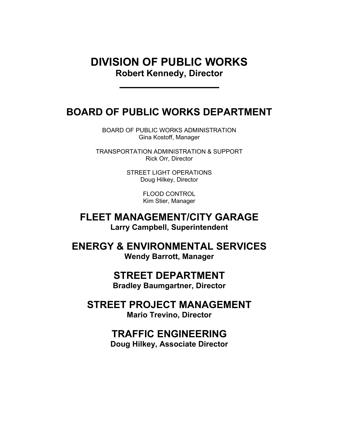## DIVISION OF PUBLIC WORKS Robert Kennedy, Director

## BOARD OF PUBLIC WORKS DEPARTMENT

BOARD OF PUBLIC WORKS ADMINISTRATION Gina Kostoff, Manager

TRANSPORTATION ADMINISTRATION & SUPPORT Rick Orr, Director

> STREET LIGHT OPERATIONS Doug Hilkey, Director

> > FLOOD CONTROL Kim Stier, Manager

FLEET MANAGEMENT/CITY GARAGE Larry Campbell, Superintendent

ENERGY & ENVIRONMENTAL SERVICES Wendy Barrott, Manager

## STREET DEPARTMENT

Bradley Baumgartner, Director

STREET PROJECT MANAGEMENT Mario Trevino, Director

## TRAFFIC ENGINEERING

Doug Hilkey, Associate Director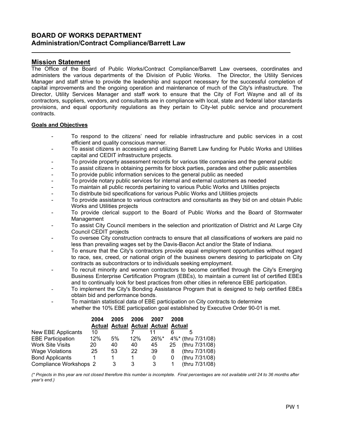### BOARD OF WORKS DEPARTMENT Administration/Contract Compliance/Barrett Law

### Mission Statement

l

The Office of the Board of Public Works/Contract Compliance/Barrett Law oversees, coordinates and administers the various departments of the Division of Public Works. The Director, the Utility Services Manager and staff strive to provide the leadership and support necessary for the successful completion of capital improvements and the ongoing operation and maintenance of much of the City's infrastructure. The Director, Utility Services Manager and staff work to ensure that the City of Fort Wayne and all of its contractors, suppliers, vendors, and consultants are in compliance with local, state and federal labor standards provisions, and equal opportunity regulations as they pertain to City-let public service and procurement contracts.

### Goals and Objectives

- To respond to the citizens' need for reliable infrastructure and public services in a cost efficient and quality conscious manner.
- To assist citizens in accessing and utilizing Barrett Law funding for Public Works and Utilities capital and CEDIT infrastructure projects.
- To provide property assessment records for various title companies and the general public
- To assist citizens in obtaining permits for block parties, parades and other public assemblies
- To provide public information services to the general public as needed
- To provide notary public services for internal and external customers as needed
- To maintain all public records pertaining to various Public Works and Utilities projects
- To distribute bid specifications for various Public Works and Utilities projects
- To provide assistance to various contractors and consultants as they bid on and obtain Public Works and Utilities projects
- To provide clerical support to the Board of Public Works and the Board of Stormwater Management
- To assist City Council members in the selection and prioritization of District and At Large City Council CEDIT projects
- To oversee City construction contracts to ensure that all classifications of workers are paid no less than prevailing wages set by the Davis-Bacon Act and/or the State of Indiana.
- To ensure that the City's contractors provide equal employment opportunities without regard to race, sex, creed, or national origin of the business owners desiring to participate on City contracts as subcontractors or to individuals seeking employment.
- To recruit minority and women contractors to become certified through the City's Emerging Business Enterprise Certification Program (EBEs), to maintain a current list of certified EBEs and to continually look for best practices from other cities in reference EBE participation.
- To implement the City's Bonding Assistance Program that is designed to help certified EBEs obtain bid and performance bonds.
- To maintain statistical data of EBE participation on City contracts to determine
- whether the 10% EBE participation goal established by Executive Order 90-01 is met.

|                          | 2004 | 2005                                      | 2006 | 2007     | 2008 |                    |                |
|--------------------------|------|-------------------------------------------|------|----------|------|--------------------|----------------|
|                          |      | <b>Actual Actual Actual Actual Actual</b> |      |          |      |                    |                |
| New EBE Applicants       | 10   |                                           |      |          |      | .<br>C             |                |
| <b>EBE Participation</b> | 12%  | 5%                                        | 12%  | $26\%$ * |      | 4%* (thru 7/31/08) |                |
| <b>Work Site Visits</b>  | 20   | 40                                        | 40   | 45       | 25   | (thru 7/31/08)     |                |
| <b>Wage Violations</b>   | 25   | 53                                        | 22   | 39       | 8    | (thru 7/31/08)     |                |
| <b>Bond Applicants</b>   |      |                                           |      | 0        | 0    | (thru 7/31/08)     |                |
| Compliance Workshops 2   |      | 3                                         | 3    | 3        |      |                    | (thru 7/31/08) |

(\* Projects in this year are not closed therefore this number is incomplete. Final percentages are not available until 24 to 36 months after year's end.)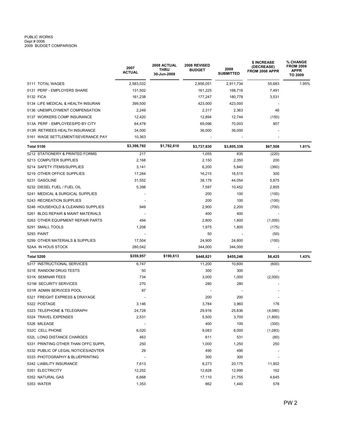# PUBLIC WORKS<br>Dept # 0006<br>2009 BUDGET COMPARISON

|                                     | 2007<br><b>ACTUAL</b>    | 2008 ACTUAL<br>THRU<br>30-Jun-2008 | 2008 REVISED<br><b>BUDGET</b> | 2009<br><b>SUBMITTED</b> | \$ INCREASE<br>(DECREASE)<br>FROM 2008 APPR | % CHANGE<br><b>FROM 2008</b><br><b>APPR</b><br>TO 2009 |
|-------------------------------------|--------------------------|------------------------------------|-------------------------------|--------------------------|---------------------------------------------|--------------------------------------------------------|
| 5111 TOTAL WAGES                    | 2,583,032                |                                    | 2,856,051                     | 2,911,734                | 55,683                                      | 1.95%                                                  |
| 5131 PERF - EMPLOYERS SHARE         | 131,502                  |                                    | 161,225                       | 168,716                  | 7,491                                       |                                                        |
| 5132 FICA                           | 161,238                  |                                    | 177,247                       | 180,778                  | 3,531                                       |                                                        |
| 5134 LIFE MEDICAL & HEALTH INSURAN  | 399,500                  |                                    | 423,000                       | 423,000                  |                                             |                                                        |
| 5136 UNEMPLOYMENT COMPENSATION      | 2,249                    |                                    | 2,317                         | 2,363                    | 46                                          |                                                        |
| 5137 WORKERS COMP INSURANCE         | 12,420                   |                                    | 12,894                        | 12,744                   | (150)                                       |                                                        |
| 513A PERF - EMPLOYEES/PD BY CITY    | 64,478                   |                                    | 69,096                        | 70,003                   | 907                                         |                                                        |
| 513R RETIREES HEALTH INSURANCE      | 34,000                   |                                    | 36,000                        | 36,000                   |                                             |                                                        |
| 5161 WAGE SETTLEMENT/SEVERANCE PAY  | 10,363                   |                                    |                               |                          |                                             |                                                        |
| Total 5100                          | \$3,398,782              | \$1,782,810                        | \$3,737,830                   | \$3,805,338              | \$67,508                                    | 1.81%                                                  |
| 5212 STATIONERY & PRINTED FORMS     | 217                      |                                    | 1,055                         | 835                      | (220)                                       |                                                        |
| 5213 COMPUTER SUPPLIES              | 2,168                    |                                    | 2,150                         | 2,350                    | 200                                         |                                                        |
| 5214 SAFETY ITEMS/SUPPLIES          | 3,141                    |                                    | 6,200                         | 5,840                    | (360)                                       |                                                        |
| 5219 OTHER OFFICE SUPPLIES          | 17,284                   |                                    | 16,215                        | 16,515                   | 300                                         |                                                        |
| 5231 GASOLINE                       | 31,552                   |                                    | 38,179                        | 44,054                   | 5,875                                       |                                                        |
| 5232 DIESEL FUEL / FUEL OIL         | 5,398                    |                                    | 7,597                         | 10,452                   | 2,855                                       |                                                        |
| 5241 MEDICAL & SURGICAL SUPPLIES    |                          |                                    | 200                           | 100                      | (100)                                       |                                                        |
| 5243 RECREATION SUPPLIES            |                          |                                    | 200                           | 100                      | (100)                                       |                                                        |
| 5246 HOUSEHOLD & CLEANING SUPPLIES  | 949                      |                                    | 2,900                         | 2,200                    | (700)                                       |                                                        |
| 5261 BLDG REPAIR & MAINT MATERIALS  |                          |                                    | 400                           | 400                      |                                             |                                                        |
| 5263 OTHER EQUIPMENT REPAIR PARTS   | 494                      |                                    | 2,800                         | 1,800                    | (1,000)                                     |                                                        |
| 5291 SMALL TOOLS                    | 1,208                    |                                    | 1,975                         | 1,800                    | (175)                                       |                                                        |
| 5293 PAINT                          |                          |                                    | 50                            |                          | (50)                                        |                                                        |
| 5299 OTHER MATERIALS & SUPPLIES     | 17,504                   |                                    | 24,900                        | 24,800                   | (100)                                       |                                                        |
| 52AA IN HOUS STOCK                  | 280,042                  |                                    | 344,000                       | 344,000                  | $\overline{a}$                              |                                                        |
| Total 5200                          | \$359,957                | \$190,613                          | \$448,821                     | \$455,246                | \$6,425                                     | 1.43%                                                  |
| 5317 INSTRUCTIONAL SERVICES         | 6,747                    |                                    | 11,200                        | 10,600                   | (600)                                       |                                                        |
| 531E RANDOM DRUG TESTS              | 50                       |                                    | 300                           | 300                      |                                             |                                                        |
| 531K SEMINAR FEES                   | 734                      |                                    | 3,000                         | 1,000                    | (2,000)                                     |                                                        |
| 531M SECURITY SERVICES              | 270                      |                                    | 280                           | 280                      |                                             |                                                        |
| 531R ADMIN SERVICES POOL            | 87                       |                                    |                               |                          |                                             |                                                        |
| 5321 FREIGHT EXPRESS & DRAYAGE      |                          |                                    | 200                           | 200                      |                                             |                                                        |
| 5322 POSTAGE                        | 3,146                    |                                    | 3,784                         | 3,960                    | 176                                         |                                                        |
| 5323 TELEPHONE & TELEGRAPH          | 24,728                   |                                    | 29,916                        | 25,836                   | (4,080)                                     |                                                        |
| 5324 TRAVEL EXPENSES                | 2,531                    |                                    | 5,500                         | 3,700                    | (1,800)                                     |                                                        |
| 5326 MILEAGE                        | $\overline{\phantom{a}}$ |                                    | 400                           | 100                      | (300)                                       |                                                        |
| 532C CELL PHONE                     | 6,020                    |                                    | 9,083                         | 8,000                    | (1,083)                                     |                                                        |
| 532L LONG DISTANCE CHARGES          | 463                      |                                    | 611                           | 531                      | (80)                                        |                                                        |
| 5331 PRINTING OTHER THAN OFFC SUPPL | 250                      |                                    | 1,000                         | 1,250                    | 250                                         |                                                        |
| 5332 PUBLIC OF LEGAL NOTICES/ADVTER | 29                       |                                    | 490                           | 490                      |                                             |                                                        |
| 5333 PHOTOGRAPHY & BLUEPRINTING     | $\overline{\phantom{a}}$ |                                    | 300                           | 300                      |                                             |                                                        |
| 5342 LIABILITY INSURANCE            | 7,613                    |                                    | 8,273                         | 20,175                   | 11,902                                      |                                                        |
| 5351 ELECTRICITY                    | 12,252                   |                                    | 12,828                        | 12,990                   | 162                                         |                                                        |
| 5352 NATURAL GAS                    | 6,668                    |                                    | 17,110                        | 21,755                   | 4,645                                       |                                                        |
| 5353 WATER                          | 1,353                    |                                    | 862                           | 1,440                    | 578                                         |                                                        |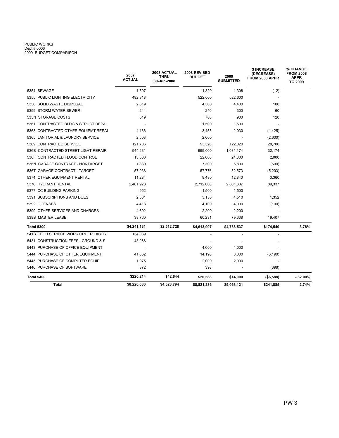# PUBLIC WORKS<br>Dept # 0006<br>2009 BUDGET COMPARISON

|                                     | 2007<br><b>ACTUAL</b> | 2008 ACTUAL<br><b>THRU</b><br>30-Jun-2008 | 2008 REVISED<br><b>BUDGET</b> | 2009<br><b>SUBMITTED</b> | \$ INCREASE<br>(DECREASE)<br>FROM 2008 APPR | % CHANGE<br><b>FROM 2008</b><br><b>APPR</b><br>TO 2009 |
|-------------------------------------|-----------------------|-------------------------------------------|-------------------------------|--------------------------|---------------------------------------------|--------------------------------------------------------|
| 5354 SEWAGE                         | 1,507                 |                                           | 1,320                         | 1,308                    | (12)                                        |                                                        |
| 5355 PUBLIC LIGHTING ELECTRICITY    | 492,818               |                                           | 522,600                       | 522,600                  |                                             |                                                        |
| 5356 SOLID WASTE DISPOSAL           | 2.619                 |                                           | 4,300                         | 4,400                    | 100                                         |                                                        |
| 5359 STORM WATER SEWER              | 244                   |                                           | 240                           | 300                      | 60                                          |                                                        |
| 535N STORAGE COSTS                  | 519                   |                                           | 780                           | 900                      | 120                                         |                                                        |
| 5361 CONTRACTED BLDG & STRUCT REPAI |                       |                                           | 1,500                         | 1,500                    |                                             |                                                        |
| 5363 CONTRACTED OTHER EQUIPMT REPAI | 4.166                 |                                           | 3,455                         | 2,030                    | (1,425)                                     |                                                        |
| 5365 JANITORIAL & LAUNDRY SERVICE   | 2,503                 |                                           | 2,600                         |                          | (2,600)                                     |                                                        |
| 5369 CONTRACTED SERVICE             | 121,706               |                                           | 93,320                        | 122,020                  | 28,700                                      |                                                        |
| 536B CONTRACTED STREET LIGHT REPAIR | 944,231               |                                           | 999,000                       | 1,031,174                | 32,174                                      |                                                        |
| 536F CONTRACTED FLOOD CONTROL       | 13,500                |                                           | 22,000                        | 24,000                   | 2,000                                       |                                                        |
| 536N GARAGE CONTRACT - NONTARGET    | 1,830                 |                                           | 7,300                         | 6,800                    | (500)                                       |                                                        |
| 536T GARAGE CONTRACT - TARGET       | 57.938                |                                           | 57,776                        | 52,573                   | (5,203)                                     |                                                        |
| 5374 OTHER EQUIPMENT RENTAL         | 11,284                |                                           | 9,480                         | 12,840                   | 3,360                                       |                                                        |
| 5376 HYDRANT RENTAL                 | 2,461,928             |                                           | 2,712,000                     | 2,801,337                | 89,337                                      |                                                        |
| 5377 CC BUILDING PARKING            | 952                   |                                           | 1,500                         | 1,500                    |                                             |                                                        |
| 5391 SUBSCRIPTIONS AND DUES         | 2,581                 |                                           | 3,158                         | 4,510                    | 1,352                                       |                                                        |
| 5392 LICENSES                       | 4,413                 |                                           | 4,100                         | 4,000                    | (100)                                       |                                                        |
| 5399 OTHER SERVICES AND CHARGES     | 4,692                 |                                           | 2,200                         | 2,200                    |                                             |                                                        |
| 539B MASTER LEASE                   | 38,760                |                                           | 60,231                        | 79,638                   | 19,407                                      |                                                        |
| <b>Total 5300</b>                   | \$4,241,131           | \$2,512,728                               | \$4,613,997                   | \$4,788,537              | \$174,540                                   | 3.78%                                                  |
| 541S TECH SERVICE WORK ORDER LABOR  | 134,039               |                                           |                               |                          |                                             |                                                        |
| 5431 CONSTRUCTION FEES - GROUND & S | 43,066                |                                           |                               |                          |                                             |                                                        |
| 5443 PURCHASE OF OFFICE EQUIPMENT   |                       |                                           | 4,000                         | 4,000                    |                                             |                                                        |
| 5444 PURCHASE OF OTHER EQUIPMENT    | 41,662                |                                           | 14,190                        | 8,000                    | (6, 190)                                    |                                                        |
| 5445 PURCHASE OF COMPUTER EQUIP     | 1,075                 |                                           | 2,000                         | 2,000                    |                                             |                                                        |
| 5446 PURCHASE OF SOFTWARE           | 372                   |                                           | 398                           |                          | (398)                                       |                                                        |
| Total 5400                          | \$220,214             | \$42,644                                  | \$20,588                      | \$14,000                 | ( \$6,588)                                  | $-32.00\%$                                             |
| Total                               | \$8,220,083           | \$4,528,794                               | \$8,821,236                   | \$9,063,121              | \$241,885                                   | 2.74%                                                  |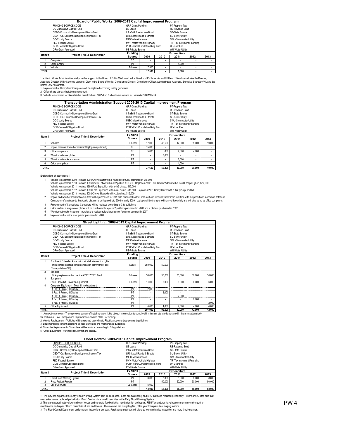|              | Board of Public Works 2009-2013 Capital Improvement Program |                                                |                           |      |                             |      |      |  |  |  |  |
|--------------|-------------------------------------------------------------|------------------------------------------------|---------------------------|------|-----------------------------|------|------|--|--|--|--|
|              | FUNDING SOURCE CODE:                                        | GRP-Grant Pending                              |                           |      | PT-Property Tax             |      |      |  |  |  |  |
|              | CC-Cumulative Capital Fund                                  | LF-Lease                                       |                           |      | RB-Revenue Bond             |      |      |  |  |  |  |
|              | CDBG-Community Development Block Grant                      | InfraBd-Infrastructure Bond                    | ST-State Source           |      |                             |      |      |  |  |  |  |
|              | CEDIT-Co. Economic Development Income Tax                   |                                                | LRS-Local Roads & Streets |      | <b>SU-Sewer Utility</b>     |      |      |  |  |  |  |
|              | CO-County Source                                            | MISC-Miscellaneous                             |                           |      | SWU-Stormwater Utility      |      |      |  |  |  |  |
|              | FED-Federal Source                                          |                                                | MVH-Motor Vehicle Highway |      | TIF-Tax Increment Financing |      |      |  |  |  |  |
|              | GOB-General Obligation Bond                                 | PCBF-Park Cumulative Bldg. Fund<br>UF-User Fee |                           |      |                             |      |      |  |  |  |  |
|              | <b>GRA-Grant Approved</b>                                   | PS-Private Source                              |                           |      | <b>WU-Water Utility</b>     |      |      |  |  |  |  |
| Item#        | <b>Project Title &amp; Description</b>                      | Fundina l                                      |                           |      | <b>Expenditure</b>          |      |      |  |  |  |  |
|              |                                                             | Source                                         | 2009                      | 2010 | 2011                        | 2012 | 2013 |  |  |  |  |
|              | Computers                                                   | СC                                             | $\sim$                    |      | $\sim$                      |      |      |  |  |  |  |
|              | Office Chairs                                               | PT                                             |                           |      |                             |      |      |  |  |  |  |
| 3            | Vehicle                                                     | LE-Lease                                       | 17,500                    | ÷.   | $\sim$                      |      |      |  |  |  |  |
| <b>TOTAL</b> |                                                             | 17.500<br>1.000                                |                           |      |                             |      |      |  |  |  |  |

The Public Works Administrative staff provides support to the Board of Public Works and to the Director of Public Works and Utilities. This office includes the Director Associate Director, Utility Services Manager, Clerk to the Board of Works, Compliance Director, Compliance Officer, Administrative Assistant, Executive Secretary VII, and the

Barrett Law Accountant. 1. Replacement of Computers: Computers will be replaced according to City guidelines.

2. Office chairs standard rotation replacement.<br>3. Vehicle replacement for Dawn Ritchie curretnly has S10 Pickup 2 wheel drive replace w/ Colorado PU GMC 4x4

|                | Transportation Administration Support 2009-2013 Capital Improvement Program |                           |                                                |                             |                    |        |        |  |  |  |  |
|----------------|-----------------------------------------------------------------------------|---------------------------|------------------------------------------------|-----------------------------|--------------------|--------|--------|--|--|--|--|
|                | FUNDING SOURCE CODE:                                                        | <b>GRP-Grant Pending</b>  |                                                |                             | PT-Property Tax    |        |        |  |  |  |  |
|                | CC-Cumulative Capital Fund                                                  | LE-Lease                  |                                                |                             | RB-Revenue Bond    |        |        |  |  |  |  |
|                | CDBG-Community Development Block Grant                                      |                           | InfraBd-Infrastructure Bond                    | ST-State Source             |                    |        |        |  |  |  |  |
|                | CEDIT-Co. Economic Development Income Tax                                   |                           | LRS-Local Roads & Streets                      | <b>SU-Sewer Utility</b>     |                    |        |        |  |  |  |  |
|                | CO-County Source                                                            |                           | SWU-Stormwater Utility<br>MISC-Miscellaneous   |                             |                    |        |        |  |  |  |  |
|                | FFD-Federal Source                                                          | MVH-Motor Vehicle Highway |                                                | TIF-Tax Increment Financing |                    |        |        |  |  |  |  |
|                | GOB-General Obligation Bond                                                 |                           | PCBF-Park Cumulative Bldg. Fund<br>UF-User Fee |                             |                    |        |        |  |  |  |  |
|                | GRA-Grant Approved                                                          |                           | PS-Private Source<br><b>WU-Water Utility</b>   |                             |                    |        |        |  |  |  |  |
| Item#          | <b>Project Title &amp; Description</b>                                      | <b>Fundina</b>            |                                                |                             | <b>Expenditure</b> |        |        |  |  |  |  |
|                |                                                                             | Source                    |                                                |                             | 2011               |        | 2013   |  |  |  |  |
|                |                                                                             |                           | 2009                                           | 2010                        |                    | 2012   |        |  |  |  |  |
|                | Vehicles                                                                    | LE-Lease                  | 17,000                                         | 43.500                      | 17,000             | 35,000 | 19,000 |  |  |  |  |
| $\overline{2}$ | Impact resistant / weather resistant laptop computers (3)                   | CC                        | 15,000                                         |                             |                    |        |        |  |  |  |  |
| 3              | Office computers                                                            | CC.                       | 5,600                                          | 800                         | 4,000              | 4,000  |        |  |  |  |  |
| 4              | Wide format color plotter                                                   | PT                        |                                                | 8,000                       |                    | ۰      |        |  |  |  |  |
| 5              | Wide format copier - scanner                                                | PT                        | ۰                                              |                             | 8.000              | ۰      |        |  |  |  |  |
| 6              | Color laser printer                                                         | PT                        |                                                |                             | 1,000              | ٠      |        |  |  |  |  |

1

Explanations of above (detail)<br>1997 - Vehicle replacement 2009: replace 1993 Chevy Blazer with a 4x2 pickup truck, estimated at \$16,000<br>1996 - Vehicle replacement 2010: replace 1996 Chevy Tahoe with a 4x2 pickup, \$16,500.

2 Vehicle replacement 2012: replace 1998 Ford Expedition with a 4x2 pickup, \$18,500. Replace a 2001 Chevy Blazer with a 4x2 pickup, \$18,500<br>Vehicle replacement 2013: replace 2002 Chevy Silverado with 4x2 pickup, \$19,000.<br>Imp

3 4 Replacement of Computers: Computers will be replaced according to City guidelines.

Color plotter - a single color plotter will be purchased to replace 2 plotterrs purchased in 2000 and 2 plotters purchased in 2002

5 6 Wide format copier / scanner - purchase to replace refurbished copier / scanner acquired in 2007 Replacement of color laser printer purchased in 2006

|                | Street Lighting 2009-2013 Capital Improvement Program            |                          |                                          |                                       |                             |        |        |
|----------------|------------------------------------------------------------------|--------------------------|------------------------------------------|---------------------------------------|-----------------------------|--------|--------|
|                | FUNDING SOURCE CODE:                                             | <b>GRP-Grant Pending</b> |                                          |                                       | PT-Property Tax             |        |        |
|                | CC-Cumulative Capital Fund                                       | LF-Lease                 |                                          |                                       | RB-Revenue Bond             |        |        |
|                | CDBG-Community Development Block Grant                           |                          | InfraBd-Infrastructure Bond              |                                       | ST-State Source             |        |        |
|                | CEDIT-Co. Economic Development Income Tax                        |                          | LRS-Local Roads & Streets                |                                       | <b>SU-Sewer Utility</b>     |        |        |
|                | CO-County Source                                                 | MISC-Miscellaneous       |                                          |                                       | SWU-Stormwater Utility      |        |        |
|                | FFD-Federal Source                                               |                          | MVH-Motor Vehicle Highway                |                                       | TIF-Tax Increment Financing |        |        |
|                | GOB-General Obligation Bond                                      |                          | PCBF-Park Cumulative Bldg. Fund          |                                       | UF-User Fee                 |        |        |
|                | GRA-Grant Approved                                               | PS-Private Source        |                                          |                                       | <b>WU-Water Utility</b>     |        |        |
| Item#          | <b>Project Title &amp; Description</b>                           | <b>Funding</b>           |                                          |                                       | <b>Expenditure</b>          |        |        |
|                |                                                                  | Source                   | 2009                                     | 2010                                  | 2011                        | 2012   | 2013   |
|                | Southwest Extended Annexation - install intersection lights      |                          |                                          |                                       |                             |        |        |
|                | and upgrade existing lights (annexation commitment see           | CEDIT                    | 350,000                                  | 50,000                                |                             |        |        |
|                | Transportation CIP)                                              |                          |                                          |                                       |                             |        |        |
| $\mathfrak{p}$ | Vehicles                                                         |                          |                                          |                                       |                             |        |        |
|                | Pickup replacement of vehicle #21517 2001 Ford                   | LE-Lease                 | 30,000                                   | 30,000                                | 30,000                      | 30,000 | 30,000 |
| 3              | Equipment                                                        |                          |                                          |                                       |                             |        |        |
|                | Snow Blade Kit - Location Equipment                              | LE-Lease                 | 11,000                                   | 6.000                                 | 6,000                       | 6,000  | 6,000  |
| 4              | Computer Equipment - Total 11 in department                      |                          |                                          |                                       |                             |        |        |
|                | 1 Fax, 1 Printer, 1 Display<br>---------------------------       | PT                       | 2,000                                    | $\sim$                                |                             |        |        |
|                | 1 Fax, 1 Printer, 1 Display<br>--------------------------------- | PT                       |                                          | 2.000                                 | ٠                           |        |        |
|                | 1 Fax, 1 Printer, 1 Display<br>--------------------------------- | PT                       |                                          |                                       | 2,000                       |        |        |
|                | 1 Fax, 1 Printer, 1 Display<br>---------------------------       | PT                       |                                          |                                       |                             | 2,000  |        |
|                | 1 Fax, 1 Printer, 1 Display                                      | PT                       |                                          |                                       |                             |        | 2.000  |
| 5              | Office Equipment                                                 | PT                       | 4,000                                    | 4,000                                 | 4,000                       | 4,000  | 4,000  |
| <b>TOTAL</b>   | T<br>$\cdots$<br>11.11                                           |                          | 397,000<br>$\mathbf{u}$ and $\mathbf{u}$ | 92,000<br>$\sim$ $\sim$ $\sim$ $\sim$ | 42,000<br>$1 + 1$           | 42,000 | 42,000 |

1. Annexation projects - These projects consist of installing street lights at each intersection to comply with minimum standards as stated in the annexation study<br>for each area. See Transporation Improvements section of C

3. Equipment replacement according to need using age and maintenance guidelines.<br>4. Computer Replacement - Computers will be replaced according to City guidelines.<br>5. Office Equipment - Purchase fax, printer and display.

|              | Flood Control 2009-2013 Capital Improvement Program |                                 |                             |        |                             |        |        |
|--------------|-----------------------------------------------------|---------------------------------|-----------------------------|--------|-----------------------------|--------|--------|
|              | FUNDING SOURCE CODE:                                | <b>GRP-Grant Pending</b>        |                             |        | PT-Property Tax             |        |        |
|              | CC-Cumulative Capital Fund                          | I.F-Lease                       |                             |        | RB-Revenue Bond             |        |        |
|              | CDBG-Community Development Block Grant              |                                 | InfraBd-Infrastructure Bond |        | ST-State Source             |        |        |
|              | CEDIT-Co. Economic Development Income Tax           |                                 | LRS-Local Roads & Streets   |        | SU-Sewer Utility            |        |        |
|              | CO-County Source                                    | MISC-Miscellaneous              |                             |        | SWU-Stormwater Utility      |        |        |
|              | FED-Federal Source                                  |                                 | MVH-Motor Vehicle Highway   |        | TIF-Tax Increment Financing |        |        |
|              | GOB-General Obligation Bond                         | PCBF-Park Cumulative Bldg. Fund |                             |        |                             |        |        |
|              | <b>GRA-Grant Approved</b>                           | PS-Private Source               |                             |        | <b>WU-Water Utility</b>     |        |        |
| Item#        | <b>Project Title &amp; Description</b>              | Fundina                         |                             |        | <b>Expenditure</b>          |        |        |
|              |                                                     | Source                          | 2009                        | 2010   | 2011                        | 2012   | 2013   |
|              | Early Flood Warning System                          | PT                              | 8.000                       | 8.000  | 8.000                       | 8.000  | 8,000  |
|              | <b>Flood Project Repairs</b>                        | PT                              |                             | 50,000 | 50,000                      | 50,000 | 50,000 |
| 3            | Used Golf Cart                                      | LE-Lease                        | 5,000                       |        |                             | $\sim$ |        |
| <b>TOTAL</b> |                                                     |                                 | 13.000                      | 58.000 | 58,000                      | 58.000 | 58,000 |

1. The City has expanded the Early Flood Warning System from 16 to 31 sites. Each site has battery and RTU that need replaced periodically. There are 29 sites also that

need solar panels replaced periodically. Flood Control plans to add new sites to the Early Flood Warning System.<br>2. There are approximately eleven miles of levees and concrete floodwalls that need attention and repair. FEM